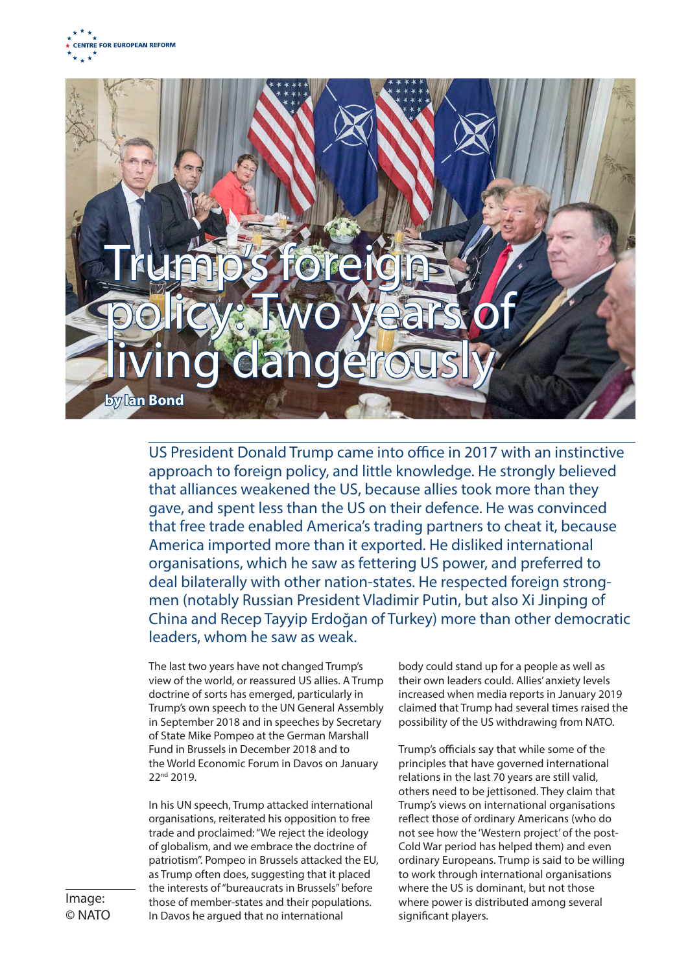## Trump's foreign policy: Two years of qidanger **by Ian Bond**

US President Donald Trump came into office in 2017 with an instinctive approach to foreign policy, and little knowledge. He strongly believed that alliances weakened the US, because allies took more than they gave, and spent less than the US on their defence. He was convinced that free trade enabled America's trading partners to cheat it, because America imported more than it exported. He disliked international organisations, which he saw as fettering US power, and preferred to deal bilaterally with other nation-states. He respected foreign strongmen (notably Russian President Vladimir Putin, but also Xi Jinping of China and Recep Tayyip Erdoğan of Turkey) more than other democratic leaders, whom he saw as weak.

The last two years have not changed Trump's view of the world, or reassured US allies. A Trump doctrine of sorts has emerged, particularly in Trump's own speech to the UN General Assembly in September 2018 and in speeches by Secretary of State Mike Pompeo at the German Marshall Fund in Brussels in December 2018 and to the World Economic Forum in Davos on January 22nd 2019.

In his UN speech, Trump attacked international organisations, reiterated his opposition to free trade and proclaimed: "We reject the ideology of globalism, and we embrace the doctrine of patriotism". Pompeo in Brussels attacked the EU, as Trump often does, suggesting that it placed the interests of "bureaucrats in Brussels" before those of member-states and their populations. In Davos he argued that no international

body could stand up for a people as well as their own leaders could. Allies' anxiety levels increased when media reports in January 2019 claimed that Trump had several times raised the possibility of the US withdrawing from NATO.

Trump's officials say that while some of the principles that have governed international relations in the last 70 years are still valid, others need to be jettisoned. They claim that Trump's views on international organisations reflect those of ordinary Americans (who do not see how the 'Western project' of the post-Cold War period has helped them) and even ordinary Europeans. Trump is said to be willing to work through international organisations where the US is dominant, but not those where power is distributed among several significant players.

Image: © NATO